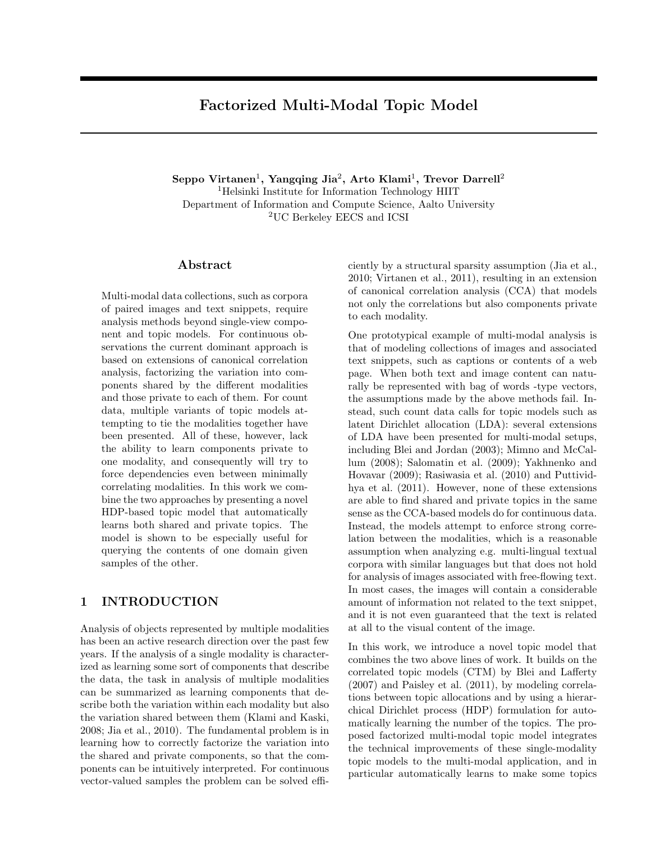# Factorized Multi-Modal Topic Model

 $\rm Seppo~Virtanen^{1},~Yangqing~Jia^{2},~Arto~Klami^{1},~Trevor~Darrell^{2}$ <sup>1</sup>Helsinki Institute for Information Technology HIIT Department of Information and Compute Science, Aalto University <sup>2</sup>UC Berkeley EECS and ICSI

### Abstract

Multi-modal data collections, such as corpora of paired images and text snippets, require analysis methods beyond single-view component and topic models. For continuous observations the current dominant approach is based on extensions of canonical correlation analysis, factorizing the variation into components shared by the different modalities and those private to each of them. For count data, multiple variants of topic models attempting to tie the modalities together have been presented. All of these, however, lack the ability to learn components private to one modality, and consequently will try to force dependencies even between minimally correlating modalities. In this work we combine the two approaches by presenting a novel HDP-based topic model that automatically learns both shared and private topics. The model is shown to be especially useful for querying the contents of one domain given samples of the other.

## 1 INTRODUCTION

Analysis of objects represented by multiple modalities has been an active research direction over the past few years. If the analysis of a single modality is characterized as learning some sort of components that describe the data, the task in analysis of multiple modalities can be summarized as learning components that describe both the variation within each modality but also the variation shared between them (Klami and Kaski, 2008; Jia et al., 2010). The fundamental problem is in learning how to correctly factorize the variation into the shared and private components, so that the components can be intuitively interpreted. For continuous vector-valued samples the problem can be solved efficiently by a structural sparsity assumption (Jia et al., 2010; Virtanen et al., 2011), resulting in an extension of canonical correlation analysis (CCA) that models not only the correlations but also components private to each modality.

One prototypical example of multi-modal analysis is that of modeling collections of images and associated text snippets, such as captions or contents of a web page. When both text and image content can naturally be represented with bag of words -type vectors, the assumptions made by the above methods fail. Instead, such count data calls for topic models such as latent Dirichlet allocation (LDA): several extensions of LDA have been presented for multi-modal setups, including Blei and Jordan (2003); Mimno and McCallum (2008); Salomatin et al. (2009); Yakhnenko and Hovavar (2009); Rasiwasia et al. (2010) and Puttividhya et al. (2011). However, none of these extensions are able to find shared and private topics in the same sense as the CCA-based models do for continuous data. Instead, the models attempt to enforce strong correlation between the modalities, which is a reasonable assumption when analyzing e.g. multi-lingual textual corpora with similar languages but that does not hold for analysis of images associated with free-flowing text. In most cases, the images will contain a considerable amount of information not related to the text snippet, and it is not even guaranteed that the text is related at all to the visual content of the image.

In this work, we introduce a novel topic model that combines the two above lines of work. It builds on the correlated topic models (CTM) by Blei and Lafferty (2007) and Paisley et al. (2011), by modeling correlations between topic allocations and by using a hierarchical Dirichlet process (HDP) formulation for automatically learning the number of the topics. The proposed factorized multi-modal topic model integrates the technical improvements of these single-modality topic models to the multi-modal application, and in particular automatically learns to make some topics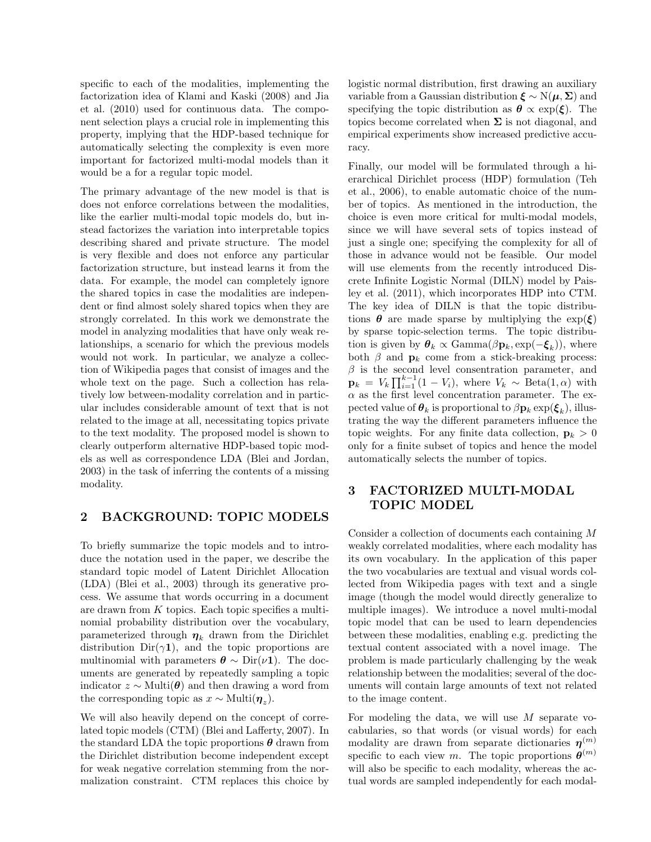specific to each of the modalities, implementing the factorization idea of Klami and Kaski (2008) and Jia et al. (2010) used for continuous data. The component selection plays a crucial role in implementing this property, implying that the HDP-based technique for automatically selecting the complexity is even more important for factorized multi-modal models than it would be a for a regular topic model.

The primary advantage of the new model is that is does not enforce correlations between the modalities, like the earlier multi-modal topic models do, but instead factorizes the variation into interpretable topics describing shared and private structure. The model is very flexible and does not enforce any particular factorization structure, but instead learns it from the data. For example, the model can completely ignore the shared topics in case the modalities are independent or find almost solely shared topics when they are strongly correlated. In this work we demonstrate the model in analyzing modalities that have only weak relationships, a scenario for which the previous models would not work. In particular, we analyze a collection of Wikipedia pages that consist of images and the whole text on the page. Such a collection has relatively low between-modality correlation and in particular includes considerable amount of text that is not related to the image at all, necessitating topics private to the text modality. The proposed model is shown to clearly outperform alternative HDP-based topic models as well as correspondence LDA (Blei and Jordan, 2003) in the task of inferring the contents of a missing modality.

## 2 BACKGROUND: TOPIC MODELS

To briefly summarize the topic models and to introduce the notation used in the paper, we describe the standard topic model of Latent Dirichlet Allocation (LDA) (Blei et al., 2003) through its generative process. We assume that words occurring in a document are drawn from K topics. Each topic specifies a multinomial probability distribution over the vocabulary, parameterized through  $\eta_k$  drawn from the Dirichlet distribution  $Dir(\gamma 1)$ , and the topic proportions are multinomial with parameters  $\theta \sim \text{Dir}(\nu \mathbf{1})$ . The documents are generated by repeatedly sampling a topic indicator  $z \sim \text{Multi}(\boldsymbol{\theta})$  and then drawing a word from the corresponding topic as  $x \sim \text{Multi}(\eta_z)$ .

We will also heavily depend on the concept of correlated topic models (CTM) (Blei and Lafferty, 2007). In the standard LDA the topic proportions  $\theta$  drawn from the Dirichlet distribution become independent except for weak negative correlation stemming from the normalization constraint. CTM replaces this choice by

logistic normal distribution, first drawing an auxiliary variable from a Gaussian distribution  $\xi \sim N(\mu, \Sigma)$  and specifying the topic distribution as  $\theta \propto \exp(\xi)$ . The topics become correlated when  $\Sigma$  is not diagonal, and empirical experiments show increased predictive accuracy.

Finally, our model will be formulated through a hierarchical Dirichlet process (HDP) formulation (Teh et al., 2006), to enable automatic choice of the number of topics. As mentioned in the introduction, the choice is even more critical for multi-modal models, since we will have several sets of topics instead of just a single one; specifying the complexity for all of those in advance would not be feasible. Our model will use elements from the recently introduced Discrete Infinite Logistic Normal (DILN) model by Paisley et al. (2011), which incorporates HDP into CTM. The key idea of DILN is that the topic distributions  $\theta$  are made sparse by multiplying the  $\exp(\xi)$ by sparse topic-selection terms. The topic distribution is given by  $\boldsymbol{\theta}_k \propto \text{Gamma}(\beta \mathbf{p}_k, \exp(-\boldsymbol{\xi}_k))$ , where both  $\beta$  and  $\mathbf{p}_k$  come from a stick-breaking process:  $\beta$  is the second level consentration parameter, and  $\mathbf{p}_k = V_k \prod_{i=1}^{k-1} (1 - V_i)$ , where  $V_k \sim \text{Beta}(1, \alpha)$  with  $\alpha$  as the first level concentration parameter. The expected value of  $\boldsymbol{\theta}_k$  is proportional to  $\beta \mathbf{p}_k \exp(\boldsymbol{\xi}_k)$ , illustrating the way the different parameters influence the topic weights. For any finite data collection,  $\mathbf{p}_k > 0$ only for a finite subset of topics and hence the model automatically selects the number of topics.

## 3 FACTORIZED MULTI-MODAL TOPIC MODEL

Consider a collection of documents each containing M weakly correlated modalities, where each modality has its own vocabulary. In the application of this paper the two vocabularies are textual and visual words collected from Wikipedia pages with text and a single image (though the model would directly generalize to multiple images). We introduce a novel multi-modal topic model that can be used to learn dependencies between these modalities, enabling e.g. predicting the textual content associated with a novel image. The problem is made particularly challenging by the weak relationship between the modalities; several of the documents will contain large amounts of text not related to the image content.

For modeling the data, we will use  $M$  separate vocabularies, so that words (or visual words) for each modality are drawn from separate dictionaries  $\boldsymbol{\eta}^{(m)}$ specific to each view m. The topic proportions  $\boldsymbol{\theta}^{(m)}$ will also be specific to each modality, whereas the actual words are sampled independently for each modal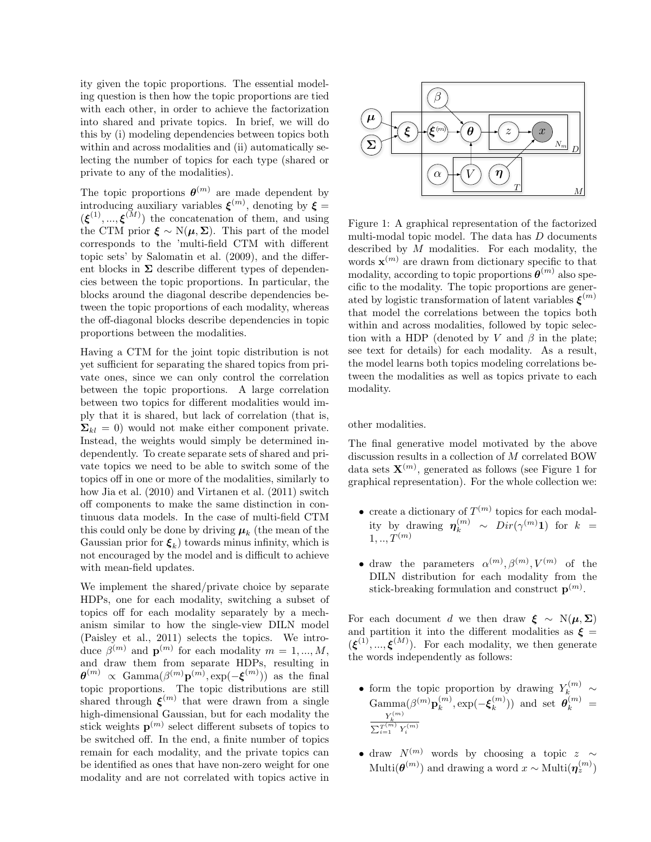ity given the topic proportions. The essential modeling question is then how the topic proportions are tied with each other, in order to achieve the factorization into shared and private topics. In brief, we will do this by (i) modeling dependencies between topics both within and across modalities and (ii) automatically selecting the number of topics for each type (shared or private to any of the modalities).

The topic proportions  $\boldsymbol{\theta}^{(m)}$  are made dependent by introducing auxiliary variables  $\xi^{(m)}$ , denoting by  $\xi =$  $(\boldsymbol{\xi}^{(1)}, ..., \boldsymbol{\xi}^{(M)})$  the concatenation of them, and using the CTM prior  $\xi \sim N(\mu, \Sigma)$ . This part of the model corresponds to the 'multi-field CTM with different topic sets' by Salomatin et al. (2009), and the different blocks in  $\Sigma$  describe different types of dependencies between the topic proportions. In particular, the blocks around the diagonal describe dependencies between the topic proportions of each modality, whereas the off-diagonal blocks describe dependencies in topic proportions between the modalities.

Having a CTM for the joint topic distribution is not yet sufficient for separating the shared topics from private ones, since we can only control the correlation between the topic proportions. A large correlation between two topics for different modalities would imply that it is shared, but lack of correlation (that is,  $\Sigma_{kl} = 0$ ) would not make either component private. Instead, the weights would simply be determined independently. To create separate sets of shared and private topics we need to be able to switch some of the topics off in one or more of the modalities, similarly to how Jia et al. (2010) and Virtanen et al. (2011) switch off components to make the same distinction in continuous data models. In the case of multi-field CTM this could only be done by driving  $\mu_k$  (the mean of the Gaussian prior for  $\xi_k$ ) towards minus infinity, which is not encouraged by the model and is difficult to achieve with mean-field updates.

We implement the shared/private choice by separate HDPs, one for each modality, switching a subset of topics off for each modality separately by a mechanism similar to how the single-view DILN model (Paisley et al., 2011) selects the topics. We introduce  $\beta^{(m)}$  and  $\mathbf{p}^{(m)}$  for each modality  $m = 1, ..., M$ , and draw them from separate HDPs, resulting in  $\boldsymbol{\theta}^{(m)} \propto \text{Gamma}(\beta^{(m)} \mathbf{p}^{(m)}, \exp(-\boldsymbol{\xi}^{(m)}))$  as the final topic proportions. The topic distributions are still shared through  $\xi^{(m)}$  that were drawn from a single high-dimensional Gaussian, but for each modality the stick weights  $p^{(m)}$  select different subsets of topics to be switched off. In the end, a finite number of topics remain for each modality, and the private topics can be identified as ones that have non-zero weight for one modality and are not correlated with topics active in



Figure 1: A graphical representation of the factorized multi-modal topic model. The data has D documents described by  $M$  modalities. For each modality, the words  $\mathbf{x}^{(m)}$  are drawn from dictionary specific to that modality, according to topic proportions  $\boldsymbol{\theta}^{(m)}$  also specific to the modality. The topic proportions are generated by logistic transformation of latent variables  $\boldsymbol{\xi}^{(m)}$ that model the correlations between the topics both within and across modalities, followed by topic selection with a HDP (denoted by V and  $\beta$  in the plate; see text for details) for each modality. As a result, the model learns both topics modeling correlations between the modalities as well as topics private to each modality.

other modalities.

The final generative model motivated by the above discussion results in a collection of M correlated BOW data sets  $\mathbf{X}^{(m)}$ , generated as follows (see Figure 1 for graphical representation). For the whole collection we:

- create a dictionary of  $T^{(m)}$  topics for each modality by drawing  $\boldsymbol{\eta}_k^{(m)} \sim Dir(\gamma^{(m)}\mathbf{1})$  for  $k =$  $1, ..., T^{(m)}$
- draw the parameters  $\alpha^{(m)}, \beta^{(m)}, V^{(m)}$  of the DILN distribution for each modality from the stick-breaking formulation and construct  $p^{(m)}$ .

For each document d we then draw  $\xi \sim N(\mu, \Sigma)$ and partition it into the different modalities as  $\xi =$  $(\boldsymbol{\xi}^{(1)}, ..., \boldsymbol{\xi}^{(M)})$ . For each modality, we then generate the words independently as follows:

- form the topic proportion by drawing  $Y_k^{(m)} \sim$  $\mathrm{Gamma}(\beta^{(m)} \mathbf{p}_k^{(m)}$  $_{k}^{\left( m\right) },$   $\exp (-\boldsymbol{\xi}_{k}^{\left( m\right) }$  $\binom{m}{k}$ ) and set  $\boldsymbol{\theta}_k^{(m)}$  =  $\frac{Y_k^{(m)}}{\sum_{i=1}^{T^{(m)}} Y_i^{(m)}}$
- draw  $N^{(m)}$  words by choosing a topic z ∼ Multi $(\boldsymbol{\theta}^{(m)})$  and drawing a word  $x \sim \text{Multi}(\boldsymbol{\eta}_z^{(m)})$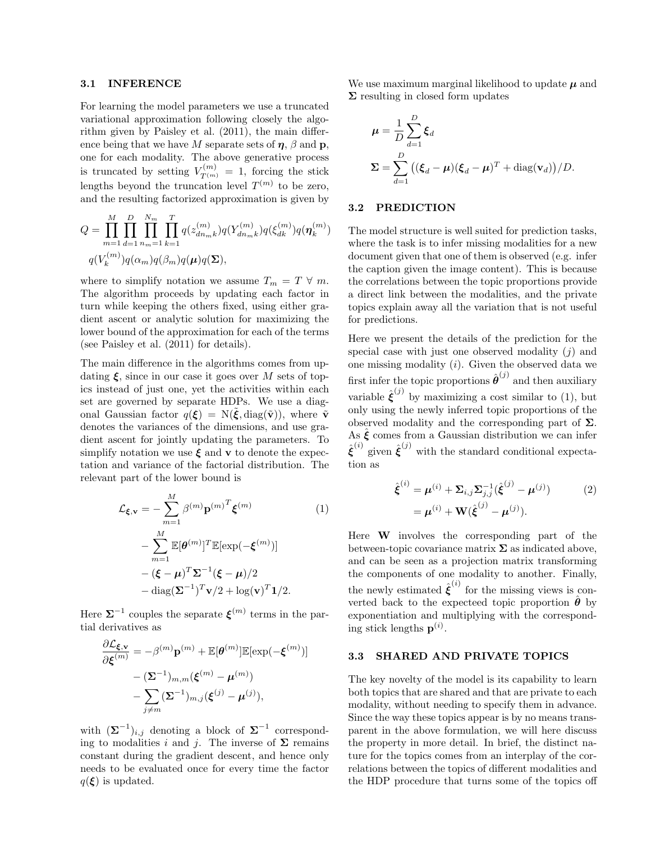#### 3.1 INFERENCE

For learning the model parameters we use a truncated variational approximation following closely the algorithm given by Paisley et al. (2011), the main difference being that we have M separate sets of  $\eta$ ,  $\beta$  and  $\mathbf{p}$ , one for each modality. The above generative process is truncated by setting  $V_{T^{(m)}}^{(m)} = 1$ , forcing the stick lengths beyond the truncation level  $T^{(m)}$  to be zero, and the resulting factorized approximation is given by

$$
Q = \prod_{m=1}^{M} \prod_{d=1}^{D} \prod_{n_m=1}^{N_m} \prod_{k=1}^{T} q(z_{dn_m k}^{(m)}) q(Y_{dn_m k}^{(m)}) q(\xi_{dk}^{(m)}) q(\boldsymbol{\eta}_k^{(m)})
$$

$$
q(V_k^{(m)}) q(\alpha_m) q(\beta_m) q(\boldsymbol{\mu}) q(\boldsymbol{\Sigma}),
$$

where to simplify notation we assume  $T_m = T \forall m$ . The algorithm proceeds by updating each factor in turn while keeping the others fixed, using either gradient ascent or analytic solution for maximizing the lower bound of the approximation for each of the terms (see Paisley et al. (2011) for details).

The main difference in the algorithms comes from updating  $\xi$ , since in our case it goes over M sets of topics instead of just one, yet the activities within each set are governed by separate HDPs. We use a diagonal Gaussian factor  $q(\boldsymbol{\xi}) = N(\tilde{\boldsymbol{\xi}}, \text{diag}(\tilde{\mathbf{v}}))$ , where  $\tilde{\mathbf{v}}$ denotes the variances of the dimensions, and use gradient ascent for jointly updating the parameters. To simplify notation we use  $\xi$  and **v** to denote the expectation and variance of the factorial distribution. The relevant part of the lower bound is

$$
\mathcal{L}_{\xi, \mathbf{v}} = -\sum_{m=1}^{M} \beta^{(m)} \mathbf{p}^{(m)^{T}} \xi^{(m)}
$$
(1)  

$$
-\sum_{m=1}^{M} \mathbb{E}[\boldsymbol{\theta}^{(m)}]^{T} \mathbb{E}[\exp(-\xi^{(m)})]
$$

$$
-(\boldsymbol{\xi} - \boldsymbol{\mu})^{T} \boldsymbol{\Sigma}^{-1} (\boldsymbol{\xi} - \boldsymbol{\mu})/2
$$

$$
-\operatorname{diag}(\boldsymbol{\Sigma}^{-1})^{T} \mathbf{v}/2 + \log(\mathbf{v})^{T} \mathbf{1}/2.
$$

Here  $\Sigma^{-1}$  couples the separate  $\xi^{(m)}$  terms in the partial derivatives as

$$
\frac{\partial \mathcal{L}_{\xi,\mathbf{v}}}{\partial \xi^{(m)}} = -\beta^{(m)} \mathbf{p}^{(m)} + \mathbb{E}[\theta^{(m)}] \mathbb{E}[\exp(-\xi^{(m)})]
$$

$$
- (\Sigma^{-1})_{m,m} (\xi^{(m)} - \mu^{(m)})
$$

$$
- \sum_{j \neq m} (\Sigma^{-1})_{m,j} (\xi^{(j)} - \mu^{(j)}),
$$

with  $(\mathbf{\Sigma}^{-1})_{i,j}$  denoting a block of  $\mathbf{\Sigma}^{-1}$  corresponding to modalities i and j. The inverse of  $\Sigma$  remains constant during the gradient descent, and hence only needs to be evaluated once for every time the factor  $q(\boldsymbol{\xi})$  is updated.

We use maximum marginal likelihood to update  $\mu$  and  $\Sigma$  resulting in closed form updates

$$
\mu = \frac{1}{D} \sum_{d=1}^{D} \xi_d
$$
  

$$
\Sigma = \sum_{d=1}^{D} ((\xi_d - \mu)(\xi_d - \mu)^T + \text{diag}(\mathbf{v}_d)) / D.
$$

#### 3.2 PREDICTION

The model structure is well suited for prediction tasks, where the task is to infer missing modalities for a new document given that one of them is observed (e.g. infer the caption given the image content). This is because the correlations between the topic proportions provide a direct link between the modalities, and the private topics explain away all the variation that is not useful for predictions.

Here we present the details of the prediction for the special case with just one observed modality  $(i)$  and one missing modality  $(i)$ . Given the observed data we first infer the topic proportions  $\hat{\boldsymbol{\theta}}^{(j)}$  and then auxiliary variable  $\hat{\xi}^{(j)}$  by maximizing a cost similar to (1), but only using the newly inferred topic proportions of the observed modality and the corresponding part of  $\Sigma$ . As  $\hat{\xi}$  comes from a Gaussian distribution we can infer  $\hat{\xi}^{(i)}$  given  $\hat{\xi}^{(j)}$  with the standard conditional expectation as

$$
\hat{\xi}^{(i)} = \mu^{(i)} + \Sigma_{i,j} \Sigma_{j,j}^{-1} (\hat{\xi}^{(j)} - \mu^{(j)})
$$
\n
$$
= \mu^{(i)} + \mathbf{W} (\hat{\xi}^{(j)} - \mu^{(j)}).
$$
\n(2)

Here W involves the corresponding part of the between-topic covariance matrix  $\Sigma$  as indicated above, and can be seen as a projection matrix transforming the components of one modality to another. Finally, the newly estimated  $\hat{\boldsymbol{\xi}}^{(i)}$  for the missing views is converted back to the expecteed topic proportion  $\hat{\boldsymbol{\theta}}$  by exponentiation and multiplying with the corresponding stick lengths  $p^{(i)}$ .

#### 3.3 SHARED AND PRIVATE TOPICS

The key novelty of the model is its capability to learn both topics that are shared and that are private to each modality, without needing to specify them in advance. Since the way these topics appear is by no means transparent in the above formulation, we will here discuss the property in more detail. In brief, the distinct nature for the topics comes from an interplay of the correlations between the topics of different modalities and the HDP procedure that turns some of the topics off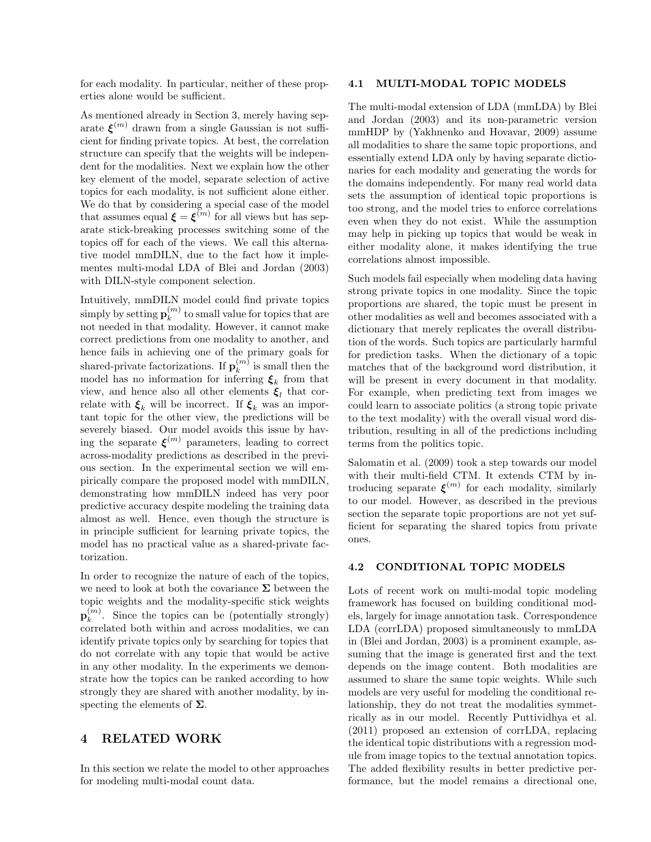for each modality. In particular, neither of these properties alone would be sufficient.

As mentioned already in Section 3, merely having separate  $\xi^{(m)}$  drawn from a single Gaussian is not sufficient for finding private topics. At best, the correlation structure can specify that the weights will be independent for the modalities. Next we explain how the other key element of the model, separate selection of active topics for each modality, is not sufficient alone either. We do that by considering a special case of the model that assumes equal  $\xi = \xi^{(m)}$  for all views but has separate stick-breaking processes switching some of the topics off for each of the views. We call this alternative model mmDILN, due to the fact how it implementes multi-modal LDA of Blei and Jordan (2003) with DILN-style component selection.

Intuitively, mmDILN model could find private topics simply by setting  $\mathbf{p}_k^{(m)}$  $\binom{m}{k}$  to small value for topics that are not needed in that modality. However, it cannot make correct predictions from one modality to another, and hence fails in achieving one of the primary goals for shared-private factorizations. If  $\mathbf{p}_k^{(m)}$  $\binom{m}{k}$  is small then the model has no information for inferring  $\xi_k$  from that view, and hence also all other elements  $\xi_l$  that correlate with  $\xi_k$  will be incorrect. If  $\xi_k$  was an important topic for the other view, the predictions will be severely biased. Our model avoids this issue by having the separate  $\xi^{(m)}$  parameters, leading to correct across-modality predictions as described in the previous section. In the experimental section we will empirically compare the proposed model with mmDILN, demonstrating how mmDILN indeed has very poor predictive accuracy despite modeling the training data almost as well. Hence, even though the structure is in principle sufficient for learning private topics, the model has no practical value as a shared-private factorization.

In order to recognize the nature of each of the topics, we need to look at both the covariance  $\Sigma$  between the topic weights and the modality-specific stick weights  $\mathbf{p}_k^{(m)}$  $\binom{m}{k}$ . Since the topics can be (potentially strongly) correlated both within and across modalities, we can identify private topics only by searching for topics that do not correlate with any topic that would be active in any other modality. In the experiments we demonstrate how the topics can be ranked according to how strongly they are shared with another modality, by inspecting the elements of  $\Sigma$ .

## 4 RELATED WORK

In this section we relate the model to other approaches for modeling multi-modal count data.

### 4.1 MULTI-MODAL TOPIC MODELS

The multi-modal extension of LDA (mmLDA) by Blei and Jordan (2003) and its non-parametric version mmHDP by (Yakhnenko and Hovavar, 2009) assume all modalities to share the same topic proportions, and essentially extend LDA only by having separate dictionaries for each modality and generating the words for the domains independently. For many real world data sets the assumption of identical topic proportions is too strong, and the model tries to enforce correlations even when they do not exist. While the assumption may help in picking up topics that would be weak in either modality alone, it makes identifying the true correlations almost impossible.

Such models fail especially when modeling data having strong private topics in one modality. Since the topic proportions are shared, the topic must be present in other modalities as well and becomes associated with a dictionary that merely replicates the overall distribution of the words. Such topics are particularly harmful for prediction tasks. When the dictionary of a topic matches that of the background word distribution, it will be present in every document in that modality. For example, when predicting text from images we could learn to associate politics (a strong topic private to the text modality) with the overall visual word distribution, resulting in all of the predictions including terms from the politics topic.

Salomatin et al. (2009) took a step towards our model with their multi-field CTM. It extends CTM by introducing separate  $\xi^{(m)}$  for each modality, similarly to our model. However, as described in the previous section the separate topic proportions are not yet sufficient for separating the shared topics from private ones.

### 4.2 CONDITIONAL TOPIC MODELS

Lots of recent work on multi-modal topic modeling framework has focused on building conditional models, largely for image annotation task. Correspondence LDA (corrLDA) proposed simultaneously to mmLDA in (Blei and Jordan, 2003) is a prominent example, assuming that the image is generated first and the text depends on the image content. Both modalities are assumed to share the same topic weights. While such models are very useful for modeling the conditional relationship, they do not treat the modalities symmetrically as in our model. Recently Puttividhya et al. (2011) proposed an extension of corrLDA, replacing the identical topic distributions with a regression module from image topics to the textual annotation topics. The added flexibility results in better predictive performance, but the model remains a directional one,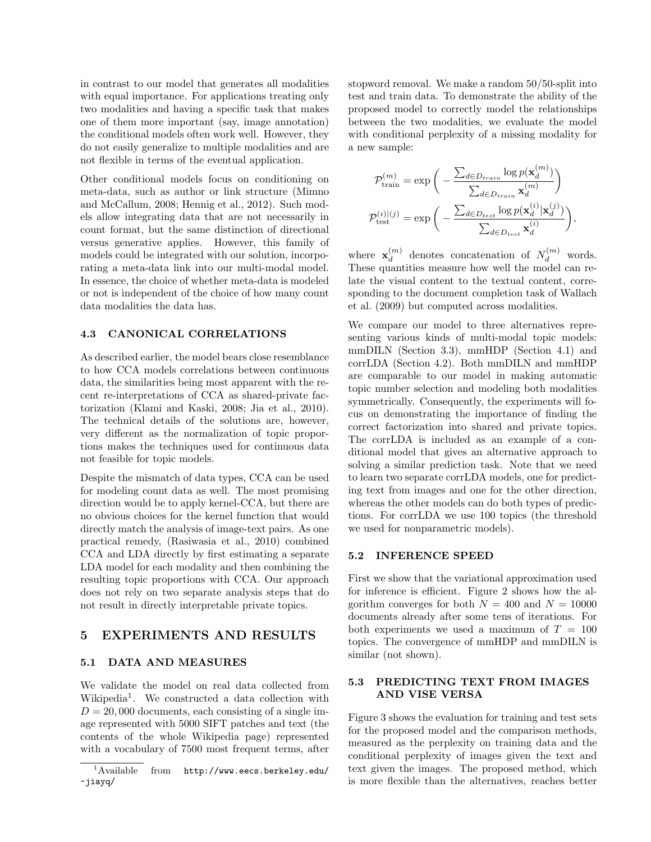in contrast to our model that generates all modalities with equal importance. For applications treating only two modalities and having a specific task that makes one of them more important (say, image annotation) the conditional models often work well. However, they do not easily generalize to multiple modalities and are not flexible in terms of the eventual application.

Other conditional models focus on conditioning on meta-data, such as author or link structure (Mimno and McCallum, 2008; Hennig et al., 2012). Such models allow integrating data that are not necessarily in count format, but the same distinction of directional versus generative applies. However, this family of models could be integrated with our solution, incorporating a meta-data link into our multi-modal model. In essence, the choice of whether meta-data is modeled or not is independent of the choice of how many count data modalities the data has.

#### 4.3 CANONICAL CORRELATIONS

As described earlier, the model bears close resemblance to how CCA models correlations between continuous data, the similarities being most apparent with the recent re-interpretations of CCA as shared-private factorization (Klami and Kaski, 2008; Jia et al., 2010). The technical details of the solutions are, however, very different as the normalization of topic proportions makes the techniques used for continuous data not feasible for topic models.

Despite the mismatch of data types, CCA can be used for modeling count data as well. The most promising direction would be to apply kernel-CCA, but there are no obvious choices for the kernel function that would directly match the analysis of image-text pairs. As one practical remedy, (Rasiwasia et al., 2010) combined CCA and LDA directly by first estimating a separate LDA model for each modality and then combining the resulting topic proportions with CCA. Our approach does not rely on two separate analysis steps that do not result in directly interpretable private topics.

### 5 EXPERIMENTS AND RESULTS

#### 5.1 DATA AND MEASURES

We validate the model on real data collected from Wikipedia<sup>1</sup>. We constructed a data collection with  $D = 20,000$  documents, each consisting of a single image represented with 5000 SIFT patches and text (the contents of the whole Wikipedia page) represented with a vocabulary of 7500 most frequent terms, after

stopword removal. We make a random 50/50-split into test and train data. To demonstrate the ability of the proposed model to correctly model the relationships between the two modalities, we evaluate the model with conditional perplexity of a missing modality for a new sample:

$$
\mathcal{P}_{\text{train}}^{(m)} = \exp\bigg(-\frac{\sum_{d \in D_{train}} \log p(\mathbf{x}_d^{(m)})}{\sum_{d \in D_{train}} \mathbf{x}_d^{(m)}}\bigg)
$$

$$
\mathcal{P}_{\text{test}}^{(i)(j)} = \exp\bigg(-\frac{\sum_{d \in D_{test}} \log p(\mathbf{x}_d^{(i)}|\mathbf{x}_d^{(j)})}{\sum_{d \in D_{test}} \mathbf{x}_d^{(i)}}\bigg),
$$

where  $\mathbf{x}_d^{(m)}$  $\binom{m}{d}$  denotes concatenation of  $N_d^{(m)}$  words. These quantities measure how well the model can relate the visual content to the textual content, corresponding to the document completion task of Wallach et al. (2009) but computed across modalities.

We compare our model to three alternatives representing various kinds of multi-modal topic models: mmDILN (Section 3.3), mmHDP (Section 4.1) and corrLDA (Section 4.2). Both mmDILN and mmHDP are comparable to our model in making automatic topic number selection and modeling both modalities symmetrically. Consequently, the experiments will focus on demonstrating the importance of finding the correct factorization into shared and private topics. The corrLDA is included as an example of a conditional model that gives an alternative approach to solving a similar prediction task. Note that we need to learn two separate corrLDA models, one for predicting text from images and one for the other direction, whereas the other models can do both types of predictions. For corrLDA we use 100 topics (the threshold we used for nonparametric models).

#### 5.2 INFERENCE SPEED

First we show that the variational approximation used for inference is efficient. Figure 2 shows how the algorithm converges for both  $N = 400$  and  $N = 10000$ documents already after some tens of iterations. For both experiments we used a maximum of  $T = 100$ topics. The convergence of mmHDP and mmDILN is similar (not shown).

## 5.3 PREDICTING TEXT FROM IMAGES AND VISE VERSA

Figure 3 shows the evaluation for training and test sets for the proposed model and the comparison methods, measured as the perplexity on training data and the conditional perplexity of images given the text and text given the images. The proposed method, which is more flexible than the alternatives, reaches better

<sup>1</sup>Available from http://www.eecs.berkeley.edu/ ~jiayq/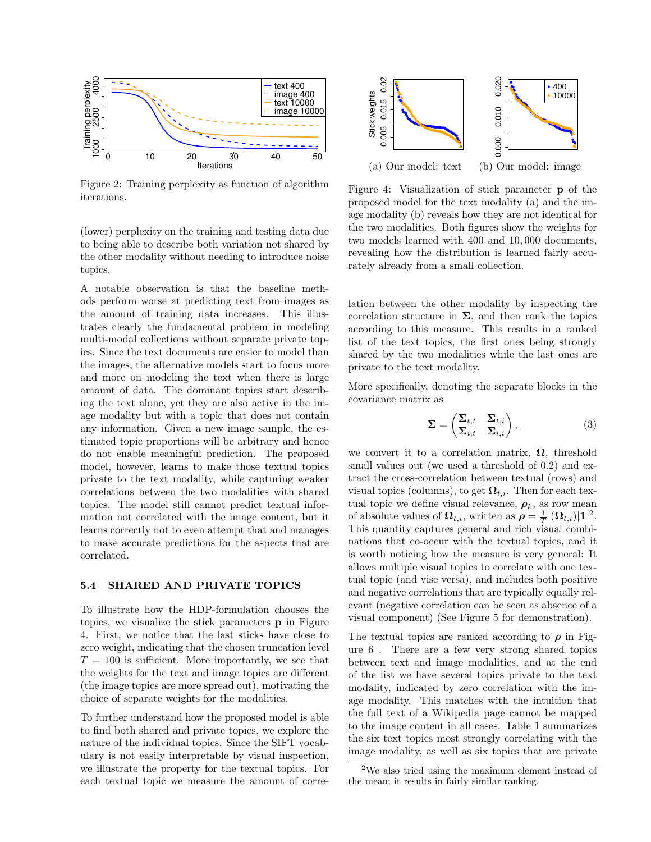

Figure 2: Training perplexity as function of algorithm iterations.

(lower) perplexity on the training and testing data due to being able to describe both variation not shared by the other modality without needing to introduce noise topics.

A notable observation is that the baseline methods perform worse at predicting text from images as the amount of training data increases. This illustrates clearly the fundamental problem in modeling multi-modal collections without separate private topics. Since the text documents are easier to model than the images, the alternative models start to focus more and more on modeling the text when there is large amount of data. The dominant topics start describing the text alone, yet they are also active in the image modality but with a topic that does not contain any information. Given a new image sample, the estimated topic proportions will be arbitrary and hence do not enable meaningful prediction. The proposed model, however, learns to make those textual topics private to the text modality, while capturing weaker correlations between the two modalities with shared topics. The model still cannot predict textual information not correlated with the image content, but it learns correctly not to even attempt that and manages to make accurate predictions for the aspects that are correlated.

#### 5.4 SHARED AND PRIVATE TOPICS

To illustrate how the HDP-formulation chooses the topics, we visualize the stick parameters p in Figure 4. First, we notice that the last sticks have close to zero weight, indicating that the chosen truncation level  $T = 100$  is sufficient. More importantly, we see that the weights for the text and image topics are different (the image topics are more spread out), motivating the choice of separate weights for the modalities.

To further understand how the proposed model is able to find both shared and private topics, we explore the nature of the individual topics. Since the SIFT vocabulary is not easily interpretable by visual inspection, we illustrate the property for the textual topics. For each textual topic we measure the amount of corre-



Figure 4: Visualization of stick parameter p of the proposed model for the text modality (a) and the image modality (b) reveals how they are not identical for the two modalities. Both figures show the weights for two models learned with 400 and 10, 000 documents, revealing how the distribution is learned fairly accurately already from a small collection.

lation between the other modality by inspecting the correlation structure in  $\Sigma$ , and then rank the topics according to this measure. This results in a ranked list of the text topics, the first ones being strongly shared by the two modalities while the last ones are private to the text modality.

More specifically, denoting the separate blocks in the covariance matrix as

$$
\Sigma = \begin{pmatrix} \Sigma_{t,t} & \Sigma_{t,i} \\ \Sigma_{i,t} & \Sigma_{i,i} \end{pmatrix}, \tag{3}
$$

we convert it to a correlation matrix,  $\Omega$ , threshold small values out (we used a threshold of 0.2) and extract the cross-correlation between textual (rows) and visual topics (columns), to get  $\Omega_{t,i}$ . Then for each textual topic we define visual relevance,  $\rho_k$ , as row mean of absolute values of  $\mathbf{\Omega}_{t,i}$ , written as  $\rho = \frac{1}{T} |(\mathbf{\Omega}_{t,i})| \mathbf{1}^2$ . This quantity captures general and rich visual combinations that co-occur with the textual topics, and it is worth noticing how the measure is very general: It allows multiple visual topics to correlate with one textual topic (and vise versa), and includes both positive and negative correlations that are typically equally relevant (negative correlation can be seen as absence of a visual component) (See Figure 5 for demonstration).

The textual topics are ranked according to  $\rho$  in Figure 6 . There are a few very strong shared topics between text and image modalities, and at the end of the list we have several topics private to the text modality, indicated by zero correlation with the image modality. This matches with the intuition that the full text of a Wikipedia page cannot be mapped to the image content in all cases. Table 1 summarizes the six text topics most strongly correlating with the image modality, as well as six topics that are private

<sup>&</sup>lt;sup>2</sup>We also tried using the maximum element instead of the mean; it results in fairly similar ranking.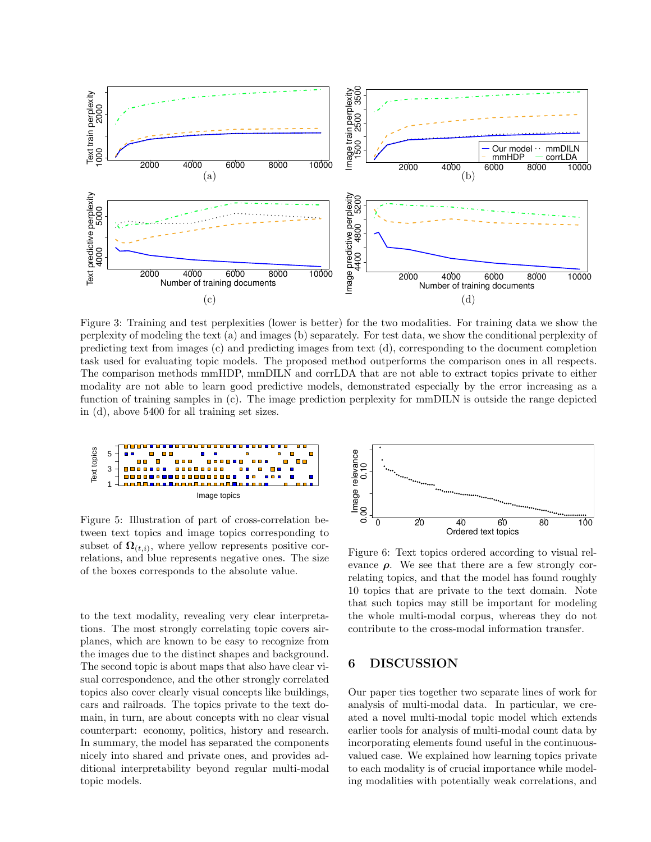

Figure 3: Training and test perplexities (lower is better) for the two modalities. For training data we show the perplexity of modeling the text (a) and images (b) separately. For test data, we show the conditional perplexity of predicting text from images (c) and predicting images from text (d), corresponding to the document completion task used for evaluating topic models. The proposed method outperforms the comparison ones in all respects. The comparison methods mmHDP, mmDILN and corrLDA that are not able to extract topics private to either modality are not able to learn good predictive models, demonstrated especially by the error increasing as a function of training samples in (c). The image prediction perplexity for mmDILN is outside the range depicted in (d), above 5400 for all training set sizes.



Figure 5: Illustration of part of cross-correlation between text topics and image topics corresponding to subset of  $\mathbf{\Omega}_{(t,i)}$ , where yellow represents positive correlations, and blue represents negative ones. The size of the boxes corresponds to the absolute value.

to the text modality, revealing very clear interpretations. The most strongly correlating topic covers airplanes, which are known to be easy to recognize from the images due to the distinct shapes and background. The second topic is about maps that also have clear visual correspondence, and the other strongly correlated topics also cover clearly visual concepts like buildings, cars and railroads. The topics private to the text domain, in turn, are about concepts with no clear visual counterpart: economy, politics, history and research. In summary, the model has separated the components nicely into shared and private ones, and provides additional interpretability beyond regular multi-modal topic models.



Figure 6: Text topics ordered according to visual relevance  $\rho$ . We see that there are a few strongly correlating topics, and that the model has found roughly 10 topics that are private to the text domain. Note that such topics may still be important for modeling the whole multi-modal corpus, whereas they do not contribute to the cross-modal information transfer.

## 6 DISCUSSION

Our paper ties together two separate lines of work for analysis of multi-modal data. In particular, we created a novel multi-modal topic model which extends earlier tools for analysis of multi-modal count data by incorporating elements found useful in the continuousvalued case. We explained how learning topics private to each modality is of crucial importance while modeling modalities with potentially weak correlations, and